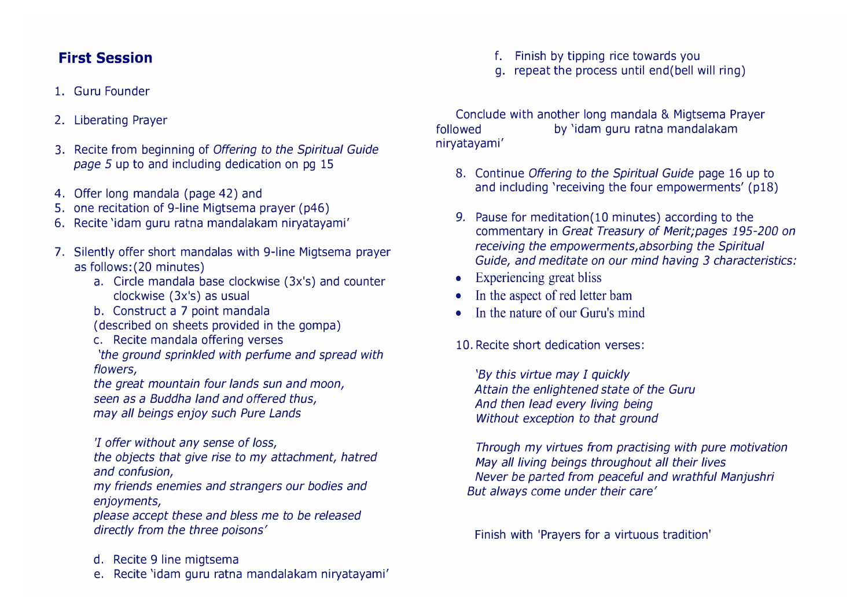## **First Session**

### 1. Guru Founder

### 2. Liberating Prayer

- 3. Recite from beginning of *Offering to the Spiritual Guide page 5* up to and including dedication on pg 15
- 4. Offer long mandala (page 42) and
- 5. one recitation of 9-line Migtsema prayer (p46)
- 6. Recite 'idam guru ratna mandalakam niryatayami'
- 7. Silently offer short mandalas with 9-line Migtsema prayer as follows:(20 minutes)
	- a. Circle mandala base clockwise (3x's) and counter clockwise (3x's) as usual
	- b. Construct a 7 point mandala

(described on sheets provided in the gompa)

c. Recite mandala offering verses

*'the ground sprinkled with perfume and spread with flowers,*

*the great mountain four lands sun and moon, seen as a Buddha land and offered thus, may all beings enjoy such Pure Lands*

*'I offer without any sense of loss,* 

*the objects that give rise to my attachment, hatred and confusion,* 

*my friends enemies and strangers our bodies and enjoyments,* 

*please accept these and bless me to be released directly from the three poisons'* 

- d. Recite 9 line migtsema
- e. Recite 'idam guru ratna mandalakam niryatayami'

f. Finish by tipping rice towards you

g. repeat the process until end(bell will ring)

Conclude with another long mandala & Migtsema Prayer followed by 'idam guru ratna mandalakam niryatayami'

- 8. Continue *Offering to the Spiritual Guide* page 16 up to and including 'receiving the four empowerments' (p18)
- 9. Pause for meditation(10 minutes) according to the commentary in *Great Treasury of Merit;pages 195-200 on receiving the empowerments,absorbing the Spiritual Guide, and meditate on our mind having 3 characteristics:*
- Experiencing great bliss
- In the aspect of red letter bam
- In the nature of our Guru's mind

10. Recite short dedication verses:

*'By this virtue may I quickly Attain the enlightened state of the Guru And then lead every living being Without exception to that ground* 

*Through my virtues from practising with pure motivation May all living beings throughout all their lives Never be parted from peaceful and wrathful Manjushri But always* come *under their care'* 

Finish with 'Prayers for a virtuous tradition'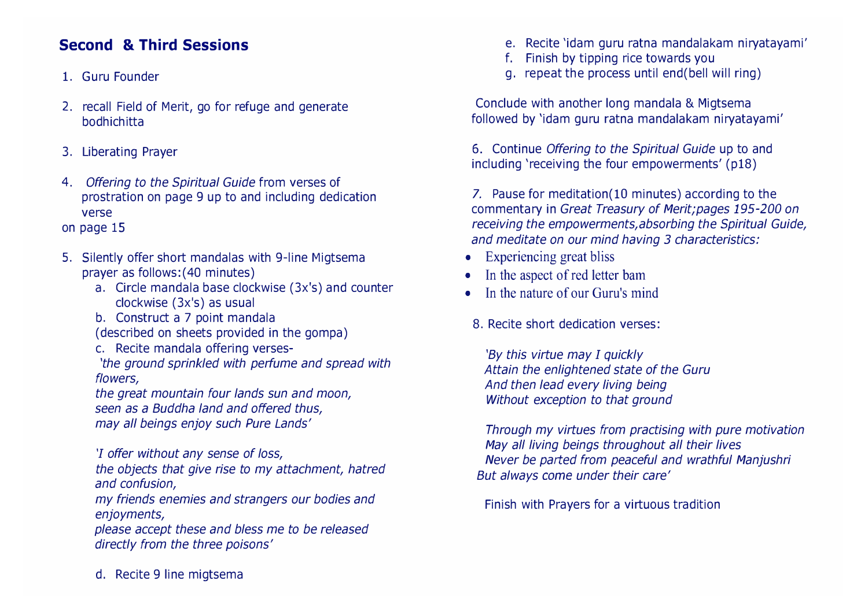# **Second & Third Sessions**

## 1. Guru Founder

- 2. recall Field of Merit, go for refuge and generate bodhichitta
- 3. Liberating Prayer
- 4. *Offering to the Spiritual Guide* from verses of prostration on page 9 up to and including dedication verse
- on page 15
- 5. Silently offer short mandalas with 9-line Migtsema prayer as follows:(40 minutes)
	- a. Circle mandala base clockwise (3x's) and counter clockwise (3x's) as usual
	- b. Construct a 7 point mandala

(described on sheets provided in the gompa)

c. Recite mandala offering verses-

*'the ground sprinkled with perfume and spread with flowers,*

*the great mountain four lands sun and moon, seen as a Buddha land and offered thus, may all beings enjoy such Pure Lands'*

*'I offer without any sense of loss,* 

*the objects that give rise to my attachment, hatred and confusion,* 

*my friends enemies and strangers our bodies and enjoyments,* 

*please accept these and bless me to be released directly from the three poisons'* 

- e. Recite 'idam guru ratna mandalakam niryatayami'
- f. Finish by tipping rice towards you
- g. repeat the process until end(bell will ring)

Conclude with another long mandala & Migtsema followed by 'idam guru ratna mandalakam niryatayami'

6. Continue *Offering to the Spiritual Guide* up to and including 'receiving the four empowerments' (p18)

7. Pause for meditation(10 minutes) according to the commentary in *Great Treasury of Merit;pages 195-200 on receiving the empowerments,absorbing the Spiritual Guide, and meditate on our mind having 3 characteristics:*

- Experiencing great bliss
- In the aspect of red letter bam
- In the nature of our Guru's mind
- 8. Recite short dedication verses:

*'By this virtue may I quickly Attain the enlightened state of the Guru And then lead every living being Without exception to that ground* 

*Through my virtues from practising with pure motivation May all living beings throughout all their lives Never be parted from peaceful and wrathful Manjushri But always* come *under their care'* 

Finish with Prayers for a virtuous tradition

d. Recite 9 line migtsema